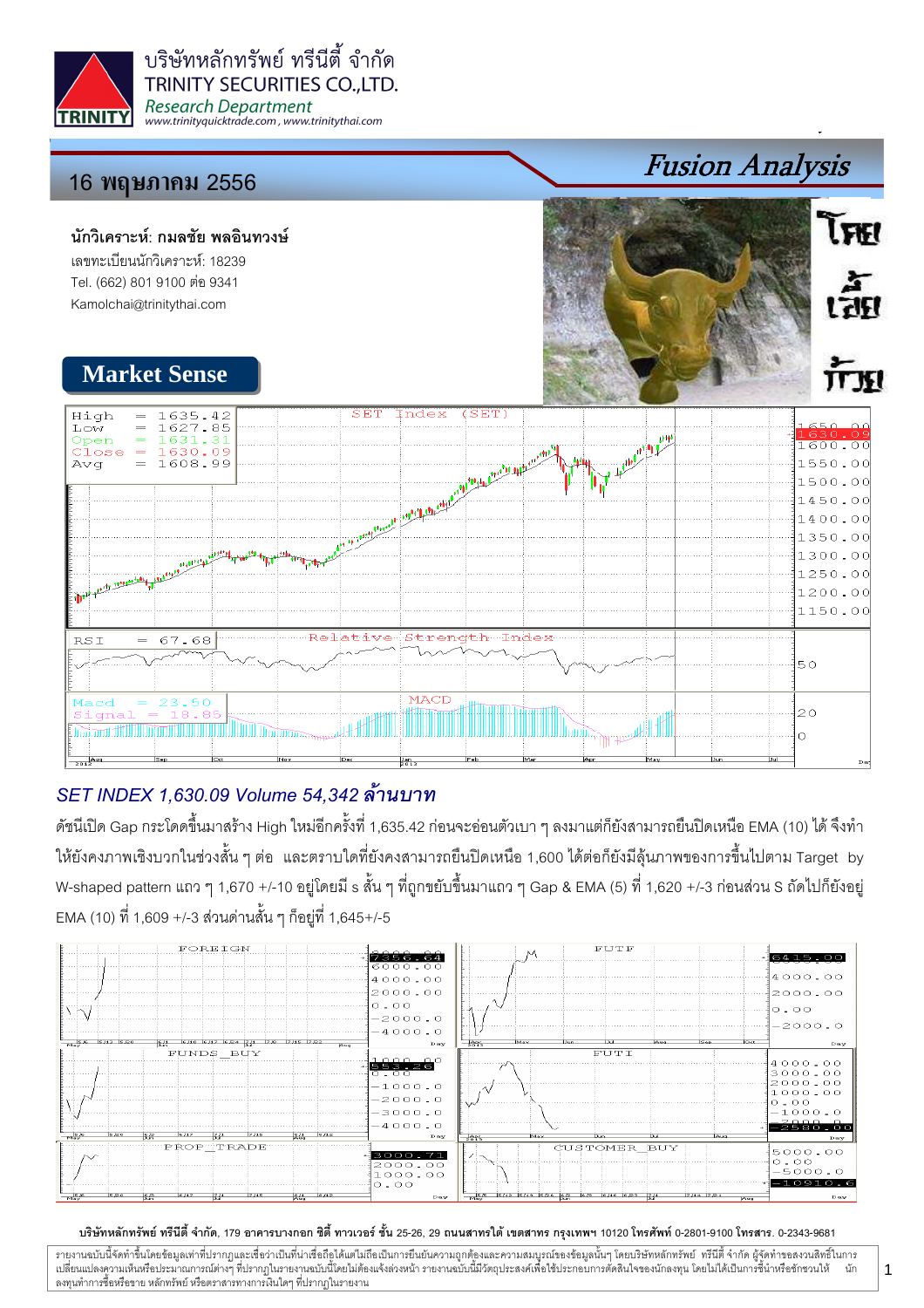

บริษัทหลักทรัพย์ ทรีนีตี้ จำกัด **TRINITY SECURITIES CO..LTD. Research Department** www.trinityquicktrade.com, www.trinitythai.com

# 16 พฤษภา<mark>คม</mark> 2556

## นักวิเคราะห์: กมลชัย พลอินทวงษ์ เลขทะเบียนนักวิเคราะห์: 18239

Tel. (662) 801 9100 ต่อ 9341 Kamolchai@trinitythai.com



Fusion Analysis

**LERI** 

เส็ต

# SET INDEX 1,630.09 Volume 54,342

ดัชนีเปิด Gap กระโดดขึ้นมาสร้าง High ใหม่อีกครั้งที่ 1,635.42 ก่อนจะอ่อนตัวเบา ๆ ลงมาแต่ก็ยังสามารถยืนปิดเหนือ EMA (10) ได้ จึงทำ ให้ยังคงภาพเชิงบวกในช่วงสั้น ๆ ต่อ และตราบใดที่ยังคงสามารถยืนปิดเหนือ 1,600 ได้ต่อก็ยังมีลุ้นภาพของการขึ้นไปตาม Target by W-shaped pattern แถว ๆ 1,670 +/-10 อยู่โดยมี s สั้น ๆ ที่ถูกขยับขึ้นมาแถว ๆ Gap & EMA (5) ที่ 1,620 +/-3 ก่อนส่วน S ถัดไปก็ยังอยู่ EMA (10) ที่ 1,609 +/-3 ส่วนด่านสั้น ๆ ก็อยู่ที่ 1,645+/-5



### บริษัทหลักทรัพย์ ทรีนีตี้ จำกัด, 179 อาคารบางกอก ซิตี้ ทาวเวอร์ ชั้น 25-26, 29 ถนนสาทรใต้ เตตสาห กรุงเทพฯ 10120 โทรศัพท์ 0-2801-9100 โทรสาร. 0-2343-9681

รายงานฉบับนี้จัดทำขึ้นโดยข้อมูลเท่าที่ปรากฏและเชื่อว่าเป็นที่มากขึ้นตั้งเป็นก็ตะบนการตารามสมบูรณ์ของข้อมูลนั้นๆ โดยบริษัทหลักทรัพย์ ทรีนี้ตี้จำกัด ผู้จัดทำขอสงวนสิทธิ์ในการ i เปลี่ยนแปลงความเห็นหรือประมาณการณ์ต่างๆ ที่ปรากฏในรายงานอบับนี้โดย การกระบบกันไม่ได้รับระบบการตัดสินใจของนักลงทุน โดยไม่ได้เป็นการขึ้นำหรือขักชวนให้ นัก ลงทุนทำการซื้อหรือขาย หลักทรัพย์ หรือตราสารทางการเงินใดๆ ที่ปรากฏในรายงาน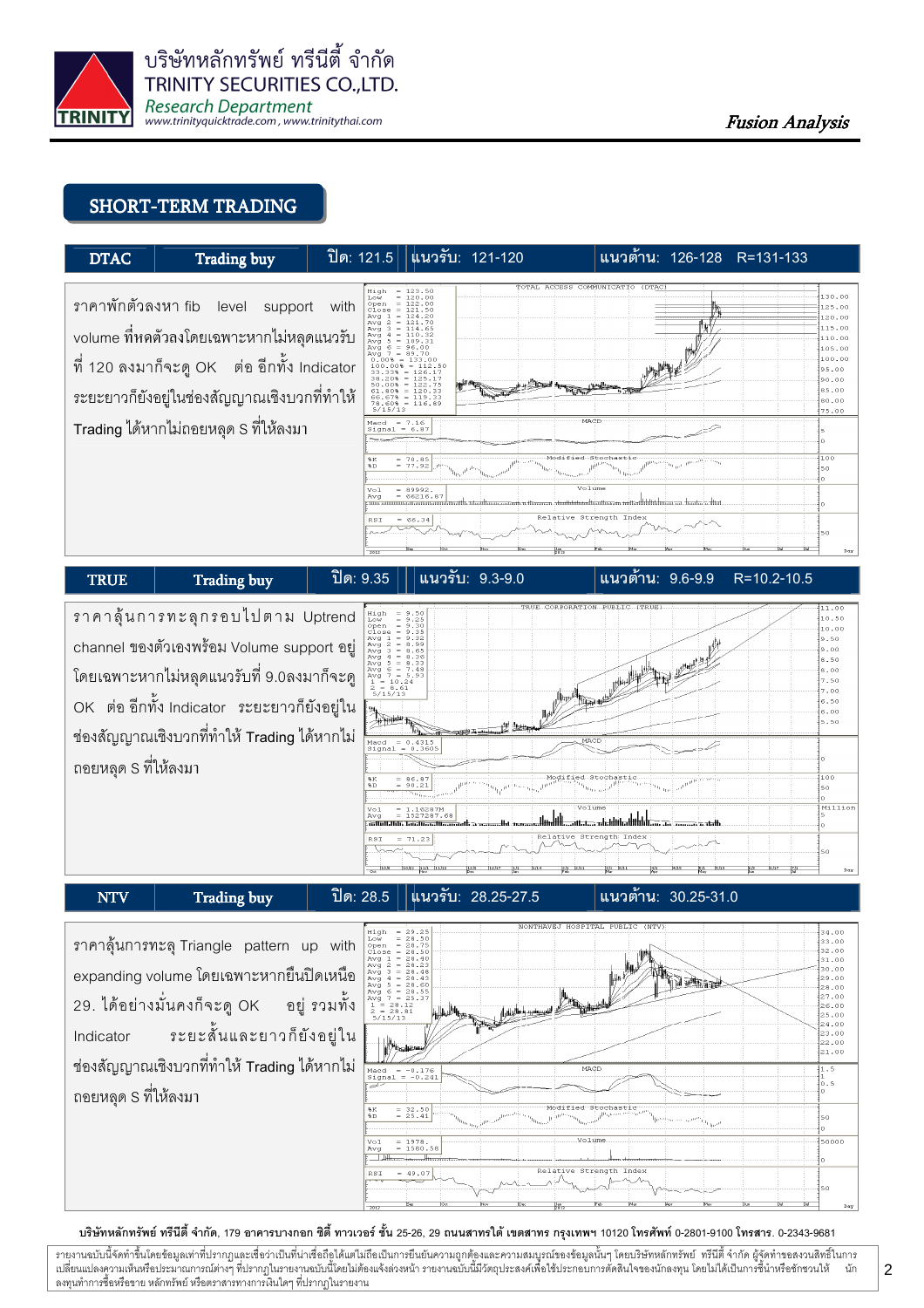

## SHORT-TERM TRADING



# ราคาสุ้นการทะลุกรอบไปตาม Uptrend channel ของตัวเองพร้อม Volume support อยู่ โดยเฉพาะหากไม่หลุดแนวรับที่ 9.0ลงมาก็จะดู OK ต่อ อีกทั้ง Indicator ระยะยาวก็ยังอยู่ใน ช่องสัญญาณเชิงบวกที่ทำให้ Trading ได้หากไม่ ถอยหลุด S ที่ให้ลงมา



## NTV | Trading buy | ปิด: 28.5 |แนวรับ: 28.25-27.5

แนวต้าน: 30.25-31.0

ราคาลุ้นการทะลุ Triangle pattern up with expanding volume โดยเฉพาะหากยืนปิดเหนือ 29. ได้อย่างมั่นคงก็จะดู OK ้อยู่ รวมทั้ง **Indicator** ระยะสั้นและยาวก็ยังอย่ใน ช่องสัญญาณเชิงบวกที่ทำให้ Trading ได้หากไม่ ถอยหลุด S ที่ให้ลงมา



#### บริษัทหลักทรัพย์ ทรีนีตี้ จำกัด, 179 อาคารบางกอก ซิตี้ ทาวเวอร์ ชั้น 25-26, 29 ถนนสาทรใต้ เตตสาห กรุงเทพฯ 10120 โทรศัพท์ 0-2801-9100 โทรสาร. 0-2343-9681

รายงานฉบับนี้จัดทำขึ้นโดยข้อมูลเท่าที่ปรากฏและเชื่อว่าเป็นที่มากขึ้นตั้งเป็นก็ตะบนการตารามสมบูรณ์ของข้อมูลนั้นๆ โดยบริษัทหลักทรัพย์ ทรีนี้ตี้จำกัด ผู้จัดทำขอสงวนสิทธิ์ในการ i เปลี่ยนแปลงความเห็นหรือประมาณการณ์ต่างๆ ที่ปรากฏในรายงานอบับนี้โดย การกระบบกันไม่ได้รับระบบการตัดสินใจของนักลงทุน โดยไม่ได้เป็นการขึ้นำหรือขักชวนให้ นัก ลงทุนทำการซื้อหรือขาย หลักทรัพย์ หรือตราสารทางการเงินใดๆ ที่ปรากฏในรายงาน